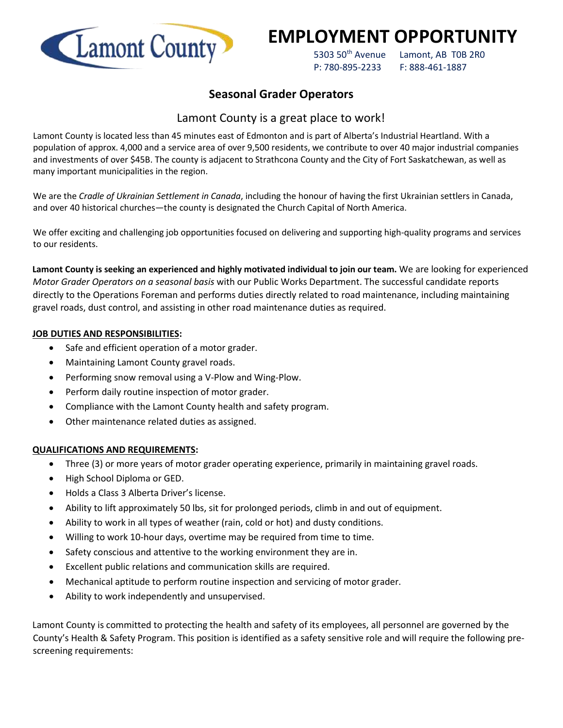

# **EMPLOYMENT OPPORTUNITY**

5303 50<sup>th</sup> Avenue Lamont, AB T0B 2R0 P: 780-895-2233 F: 888-461-1887

# **Seasonal Grader Operators**

# Lamont County is a great place to work!

Lamont County is located less than 45 minutes east of Edmonton and is part of Alberta's Industrial Heartland. With a population of approx. 4,000 and a service area of over 9,500 residents, we contribute to over 40 major industrial companies and investments of over \$45B. The county is adjacent to Strathcona County and the City of Fort Saskatchewan, as well as many important municipalities in the region.

We are the *Cradle of Ukrainian Settlement in Canada*, including the honour of having the first Ukrainian settlers in Canada, and over 40 historical churches—the county is designated the Church Capital of North America.

We offer exciting and challenging job opportunities focused on delivering and supporting high-quality programs and services to our residents.

**Lamont County is seeking an experienced and highly motivated individual to join our team.** We are looking for experienced *Motor Grader Operators on a seasonal basis* with our Public Works Department. The successful candidate reports directly to the Operations Foreman and performs duties directly related to road maintenance, including maintaining gravel roads, dust control, and assisting in other road maintenance duties as required.

## **JOB DUTIES AND RESPONSIBILITIES:**

- Safe and efficient operation of a motor grader.
- Maintaining Lamont County gravel roads.
- Performing snow removal using a V-Plow and Wing-Plow.
- Perform daily routine inspection of motor grader.
- Compliance with the Lamont County health and safety program.
- Other maintenance related duties as assigned.

## **QUALIFICATIONS AND REQUIREMENTS:**

- Three (3) or more years of motor grader operating experience, primarily in maintaining gravel roads.
- High School Diploma or GED.
- Holds a Class 3 Alberta Driver's license.
- Ability to lift approximately 50 lbs, sit for prolonged periods, climb in and out of equipment.
- Ability to work in all types of weather (rain, cold or hot) and dusty conditions.
- Willing to work 10-hour days, overtime may be required from time to time.
- Safety conscious and attentive to the working environment they are in.
- Excellent public relations and communication skills are required.
- Mechanical aptitude to perform routine inspection and servicing of motor grader.
- Ability to work independently and unsupervised.

Lamont County is committed to protecting the health and safety of its employees, all personnel are governed by the County's Health & Safety Program. This position is identified as a safety sensitive role and will require the following prescreening requirements: